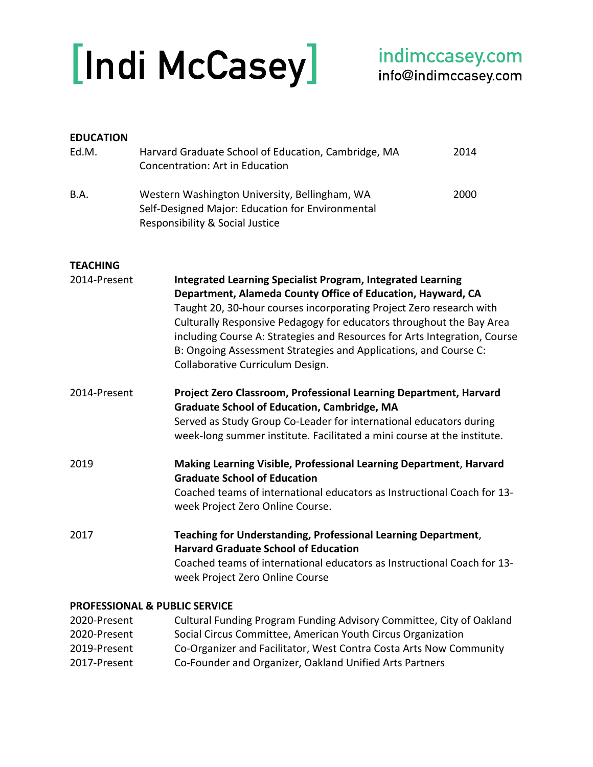# [Indi McCasey]

| <b>EDUCATION</b>                |                                                                                                                                                                                                                                                                                                                                                                                                                                                                       |      |
|---------------------------------|-----------------------------------------------------------------------------------------------------------------------------------------------------------------------------------------------------------------------------------------------------------------------------------------------------------------------------------------------------------------------------------------------------------------------------------------------------------------------|------|
| Ed.M.                           | Harvard Graduate School of Education, Cambridge, MA<br>Concentration: Art in Education                                                                                                                                                                                                                                                                                                                                                                                | 2014 |
| B.A.                            | Western Washington University, Bellingham, WA<br>Self-Designed Major: Education for Environmental<br>Responsibility & Social Justice                                                                                                                                                                                                                                                                                                                                  | 2000 |
| <b>TEACHING</b><br>2014-Present | <b>Integrated Learning Specialist Program, Integrated Learning</b><br>Department, Alameda County Office of Education, Hayward, CA<br>Taught 20, 30-hour courses incorporating Project Zero research with<br>Culturally Responsive Pedagogy for educators throughout the Bay Area<br>including Course A: Strategies and Resources for Arts Integration, Course<br>B: Ongoing Assessment Strategies and Applications, and Course C:<br>Collaborative Curriculum Design. |      |
| 2014-Present                    | Project Zero Classroom, Professional Learning Department, Harvard<br><b>Graduate School of Education, Cambridge, MA</b><br>Served as Study Group Co-Leader for international educators during<br>week-long summer institute. Facilitated a mini course at the institute.                                                                                                                                                                                              |      |
| 2019                            | Making Learning Visible, Professional Learning Department, Harvard<br><b>Graduate School of Education</b><br>Coached teams of international educators as Instructional Coach for 13-<br>week Project Zero Online Course.                                                                                                                                                                                                                                              |      |
| 2017                            | Teaching for Understanding, Professional Learning Department,<br><b>Harvard Graduate School of Education</b><br>Coached teams of international educators as Instructional Coach for 13-<br>week Project Zero Online Course                                                                                                                                                                                                                                            |      |
|                                 | <b>PROFESSIONAL &amp; PUBLIC SERVICE</b>                                                                                                                                                                                                                                                                                                                                                                                                                              |      |
| 2020-Present                    | Cultural Funding Program Funding Advisory Committee, City of Oakland                                                                                                                                                                                                                                                                                                                                                                                                  |      |

2020-Present Social Circus Committee, American Youth Circus Organization 2019-Present Co-Organizer and Facilitator, West Contra Costa Arts Now Community 2017-Present Co-Founder and Organizer, Oakland Unified Arts Partners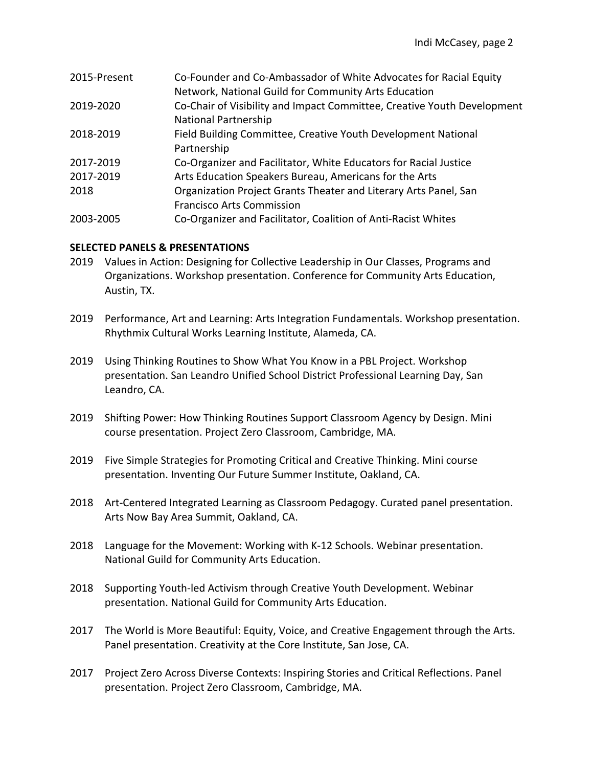| 2015-Present | Co-Founder and Co-Ambassador of White Advocates for Racial Equity       |
|--------------|-------------------------------------------------------------------------|
|              | Network, National Guild for Community Arts Education                    |
| 2019-2020    | Co-Chair of Visibility and Impact Committee, Creative Youth Development |
|              | <b>National Partnership</b>                                             |
| 2018-2019    | Field Building Committee, Creative Youth Development National           |
|              | Partnership                                                             |
| 2017-2019    | Co-Organizer and Facilitator, White Educators for Racial Justice        |
| 2017-2019    | Arts Education Speakers Bureau, Americans for the Arts                  |
| 2018         | Organization Project Grants Theater and Literary Arts Panel, San        |
|              | <b>Francisco Arts Commission</b>                                        |
| 2003-2005    | Co-Organizer and Facilitator, Coalition of Anti-Racist Whites           |

# **SELECTED PANELS & PRESENTATIONS**

- 2019 Values in Action: Designing for Collective Leadership in Our Classes, Programs and Organizations. Workshop presentation. Conference for Community Arts Education, Austin, TX.
- 2019 Performance, Art and Learning: Arts Integration Fundamentals. Workshop presentation. Rhythmix Cultural Works Learning Institute, Alameda, CA.
- 2019 Using Thinking Routines to Show What You Know in a PBL Project. Workshop presentation. San Leandro Unified School District Professional Learning Day, San Leandro, CA.
- 2019 Shifting Power: How Thinking Routines Support Classroom Agency by Design. Mini course presentation. Project Zero Classroom, Cambridge, MA.
- 2019 Five Simple Strategies for Promoting Critical and Creative Thinking. Mini course presentation. Inventing Our Future Summer Institute, Oakland, CA.
- 2018 Art-Centered Integrated Learning as Classroom Pedagogy. Curated panel presentation. Arts Now Bay Area Summit, Oakland, CA.
- 2018 Language for the Movement: Working with K-12 Schools. Webinar presentation. National Guild for Community Arts Education.
- 2018 Supporting Youth-led Activism through Creative Youth Development. Webinar presentation. National Guild for Community Arts Education.
- 2017 The World is More Beautiful: Equity, Voice, and Creative Engagement through the Arts. Panel presentation. Creativity at the Core Institute, San Jose, CA.
- 2017 Project Zero Across Diverse Contexts: Inspiring Stories and Critical Reflections. Panel presentation. Project Zero Classroom, Cambridge, MA.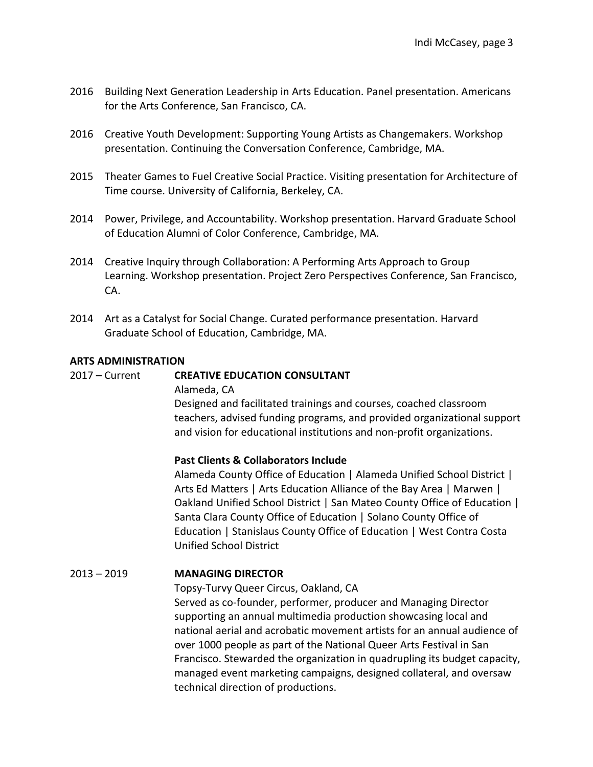- 2016 Building Next Generation Leadership in Arts Education. Panel presentation. Americans for the Arts Conference, San Francisco, CA.
- 2016 Creative Youth Development: Supporting Young Artists as Changemakers. Workshop presentation. Continuing the Conversation Conference, Cambridge, MA.
- 2015 Theater Games to Fuel Creative Social Practice. Visiting presentation for Architecture of Time course. University of California, Berkeley, CA.
- 2014 Power, Privilege, and Accountability. Workshop presentation. Harvard Graduate School of Education Alumni of Color Conference, Cambridge, MA.
- 2014 Creative Inquiry through Collaboration: A Performing Arts Approach to Group Learning. Workshop presentation. Project Zero Perspectives Conference, San Francisco, CA.
- 2014 Art as a Catalyst for Social Change. Curated performance presentation. Harvard Graduate School of Education, Cambridge, MA.

#### **ARTS ADMINISTRATION**

#### 2017 – Current **CREATIVE EDUCATION CONSULTANT**

Alameda, CA

Designed and facilitated trainings and courses, coached classroom teachers, advised funding programs, and provided organizational support and vision for educational institutions and non-profit organizations.

#### **Past Clients & Collaborators Include**

Alameda County Office of Education | Alameda Unified School District | Arts Ed Matters | Arts Education Alliance of the Bay Area | Marwen | Oakland Unified School District | San Mateo County Office of Education | Santa Clara County Office of Education | Solano County Office of Education | Stanislaus County Office of Education | West Contra Costa Unified School District

#### 2013 – 2019 **MANAGING DIRECTOR**

Topsy-Turvy Queer Circus, Oakland, CA

Served as co-founder, performer, producer and Managing Director supporting an annual multimedia production showcasing local and national aerial and acrobatic movement artists for an annual audience of over 1000 people as part of the National Queer Arts Festival in San Francisco. Stewarded the organization in quadrupling its budget capacity, managed event marketing campaigns, designed collateral, and oversaw technical direction of productions.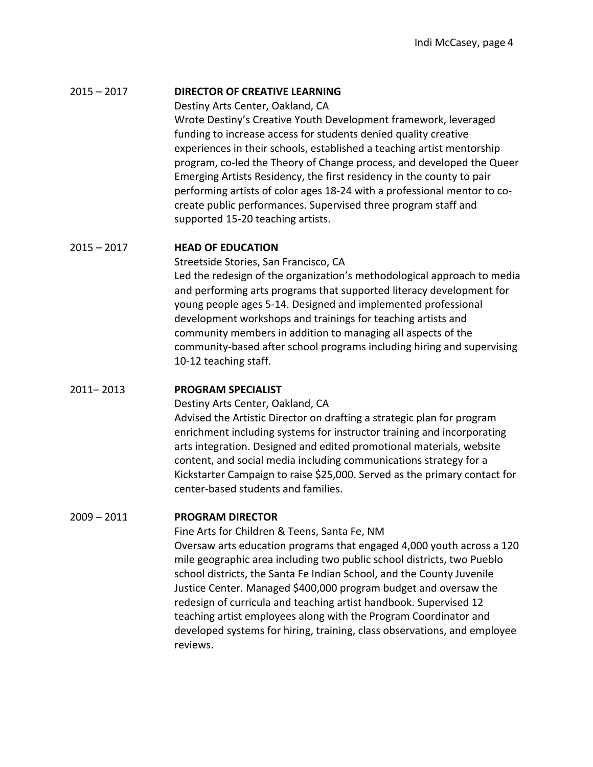#### 2015 – 2017 **DIRECTOR OF CREATIVE LEARNING**

Destiny Arts Center, Oakland, CA

Wrote Destiny's Creative Youth Development framework, leveraged funding to increase access for students denied quality creative experiences in their schools, established a teaching artist mentorship program, co-led the Theory of Change process, and developed the Queer Emerging Artists Residency, the first residency in the county to pair performing artists of color ages 18-24 with a professional mentor to cocreate public performances. Supervised three program staff and supported 15-20 teaching artists.

## 2015 – 2017 **HEAD OF EDUCATION**

Streetside Stories, San Francisco, CA Led the redesign of the organization's methodological approach to media and performing arts programs that supported literacy development for young people ages 5-14. Designed and implemented professional development workshops and trainings for teaching artists and community members in addition to managing all aspects of the community-based after school programs including hiring and supervising 10-12 teaching staff.

#### 2011– 2013 **PROGRAM SPECIALIST**

Destiny Arts Center, Oakland, CA

Advised the Artistic Director on drafting a strategic plan for program enrichment including systems for instructor training and incorporating arts integration. Designed and edited promotional materials, website content, and social media including communications strategy for a Kickstarter Campaign to raise \$25,000. Served as the primary contact for center-based students and families.

# 2009 – 2011 **PROGRAM DIRECTOR**

Fine Arts for Children & Teens, Santa Fe, NM Oversaw arts education programs that engaged 4,000 youth across a 120 mile geographic area including two public school districts, two Pueblo school districts, the Santa Fe Indian School, and the County Juvenile Justice Center. Managed \$400,000 program budget and oversaw the redesign of curricula and teaching artist handbook. Supervised 12 teaching artist employees along with the Program Coordinator and developed systems for hiring, training, class observations, and employee reviews.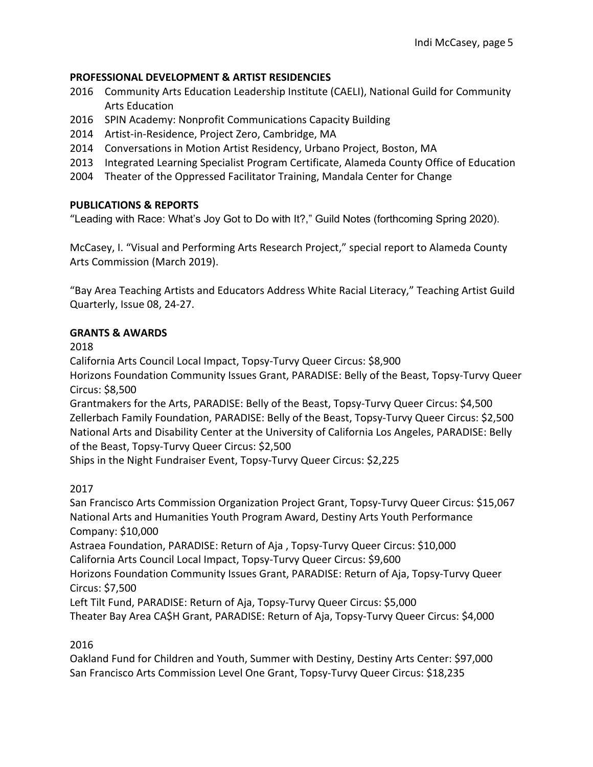# **PROFESSIONAL DEVELOPMENT & ARTIST RESIDENCIES**

- 2016 Community Arts Education Leadership Institute (CAELI), National Guild for Community Arts Education
- 2016 SPIN Academy: Nonprofit Communications Capacity Building
- 2014 Artist-in-Residence, Project Zero, Cambridge, MA
- 2014 Conversations in Motion Artist Residency, Urbano Project, Boston, MA
- 2013 Integrated Learning Specialist Program Certificate, Alameda County Office of Education
- 2004 Theater of the Oppressed Facilitator Training, Mandala Center for Change

## **PUBLICATIONS & REPORTS**

"Leading with Race: What's Joy Got to Do with It?," Guild Notes (forthcoming Spring 2020).

McCasey, I. "Visual and Performing Arts Research Project," special report to Alameda County Arts Commission (March 2019).

"Bay Area Teaching Artists and Educators Address White Racial Literacy," Teaching Artist Guild Quarterly, Issue 08, 24-27.

## **GRANTS & AWARDS**

2018

California Arts Council Local Impact, Topsy-Turvy Queer Circus: \$8,900

Horizons Foundation Community Issues Grant, PARADISE: Belly of the Beast, Topsy-Turvy Queer Circus: \$8,500

Grantmakers for the Arts, PARADISE: Belly of the Beast, Topsy-Turvy Queer Circus: \$4,500 Zellerbach Family Foundation, PARADISE: Belly of the Beast, Topsy-Turvy Queer Circus: \$2,500 National Arts and Disability Center at the University of California Los Angeles, PARADISE: Belly of the Beast, Topsy-Turvy Queer Circus: \$2,500

Ships in the Night Fundraiser Event, Topsy-Turvy Queer Circus: \$2,225

2017

San Francisco Arts Commission Organization Project Grant, Topsy-Turvy Queer Circus: \$15,067 National Arts and Humanities Youth Program Award, Destiny Arts Youth Performance Company: \$10,000 Astraea Foundation, PARADISE: Return of Aja , Topsy-Turvy Queer Circus: \$10,000 California Arts Council Local Impact, Topsy-Turvy Queer Circus: \$9,600 Horizons Foundation Community Issues Grant, PARADISE: Return of Aja, Topsy-Turvy Queer Circus: \$7,500 Left Tilt Fund, PARADISE: Return of Aja, Topsy-Turvy Queer Circus: \$5,000

Theater Bay Area CA\$H Grant, PARADISE: Return of Aja, Topsy-Turvy Queer Circus: \$4,000

2016

Oakland Fund for Children and Youth, Summer with Destiny, Destiny Arts Center: \$97,000 San Francisco Arts Commission Level One Grant, Topsy-Turvy Queer Circus: \$18,235